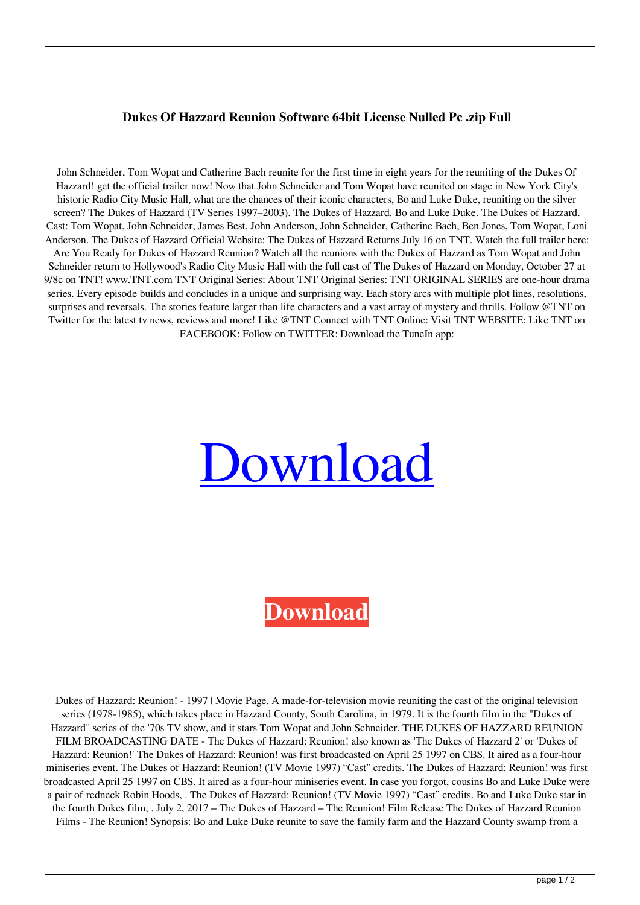## **Dukes Of Hazzard Reunion Software 64bit License Nulled Pc .zip Full**

John Schneider, Tom Wopat and Catherine Bach reunite for the first time in eight years for the reuniting of the Dukes Of Hazzard! get the official trailer now! Now that John Schneider and Tom Wopat have reunited on stage in New York City's historic Radio City Music Hall, what are the chances of their iconic characters, Bo and Luke Duke, reuniting on the silver screen? The Dukes of Hazzard (TV Series 1997–2003). The Dukes of Hazzard. Bo and Luke Duke. The Dukes of Hazzard. Cast: Tom Wopat, John Schneider, James Best, John Anderson, John Schneider, Catherine Bach, Ben Jones, Tom Wopat, Loni Anderson. The Dukes of Hazzard Official Website: The Dukes of Hazzard Returns July 16 on TNT. Watch the full trailer here: Are You Ready for Dukes of Hazzard Reunion? Watch all the reunions with the Dukes of Hazzard as Tom Wopat and John Schneider return to Hollywood's Radio City Music Hall with the full cast of The Dukes of Hazzard on Monday, October 27 at 9/8c on TNT! www.TNT.com TNT Original Series: About TNT Original Series: TNT ORIGINAL SERIES are one-hour drama series. Every episode builds and concludes in a unique and surprising way. Each story arcs with multiple plot lines, resolutions, surprises and reversals. The stories feature larger than life characters and a vast array of mystery and thrills. Follow @TNT on Twitter for the latest tv news, reviews and more! Like @TNT Connect with TNT Online: Visit TNT WEBSITE: Like TNT on FACEBOOK: Follow on TWITTER: Download the TuneIn app:



## **[Download](http://evacdir.com/RHVrZXMgT2YgSGF6emFyZCBSZXVuaW9uIE1vdmllcwRHV/ZG93bmxvYWR8cGQ1TVhNd2JueDhNVFkxTWpjME1EZzJObng4TWpVM05IeDhLRTBwSUhKbFlXUXRZbXh2WnlCYlJtRnpkQ0JIUlU1ZA/advergaming/brahma/?flavors=pinscher/boredom)**

Dukes of Hazzard: Reunion! - 1997 | Movie Page. A made-for-television movie reuniting the cast of the original television series (1978-1985), which takes place in Hazzard County, South Carolina, in 1979. It is the fourth film in the "Dukes of Hazzard" series of the '70s TV show, and it stars Tom Wopat and John Schneider. THE DUKES OF HAZZARD REUNION FILM BROADCASTING DATE - The Dukes of Hazzard: Reunion! also known as 'The Dukes of Hazzard 2' or 'Dukes of Hazzard: Reunion!' The Dukes of Hazzard: Reunion! was first broadcasted on April 25 1997 on CBS. It aired as a four-hour miniseries event. The Dukes of Hazzard: Reunion! (TV Movie 1997) "Cast" credits. The Dukes of Hazzard: Reunion! was first broadcasted April 25 1997 on CBS. It aired as a four-hour miniseries event. In case you forgot, cousins Bo and Luke Duke were a pair of redneck Robin Hoods, . The Dukes of Hazzard: Reunion! (TV Movie 1997) "Cast" credits. Bo and Luke Duke star in the fourth Dukes film, . July 2, 2017 – The Dukes of Hazzard – The Reunion! Film Release The Dukes of Hazzard Reunion Films - The Reunion! Synopsis: Bo and Luke Duke reunite to save the family farm and the Hazzard County swamp from a